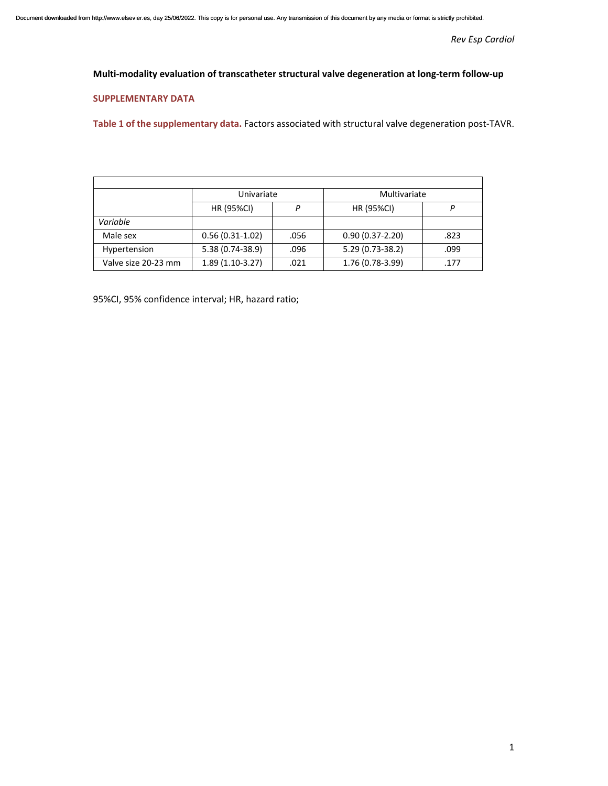*Rev Esp Cardiol* 

## **Multi‐modality evaluation of transcatheter structural valve degeneration at long‐term follow‐up**

## **SUPPLEMENTARY DATA**

**Table 1 of the supplementary data.** Factors associated with structural valve degeneration post‐TAVR.

|                     | Univariate        |      | Multivariate        |      |
|---------------------|-------------------|------|---------------------|------|
|                     | <b>HR (95%CI)</b> |      | <b>HR (95%CI)</b>   |      |
| Variable            |                   |      |                     |      |
| Male sex            | $0.56(0.31-1.02)$ | .056 | $0.90(0.37 - 2.20)$ | .823 |
| Hypertension        | 5.38 (0.74-38.9)  | .096 | 5.29 (0.73-38.2)    | .099 |
| Valve size 20-23 mm | $1.89(1.10-3.27)$ | .021 | 1.76 (0.78-3.99)    | .177 |

95%CI, 95% confidence interval; HR, hazard ratio;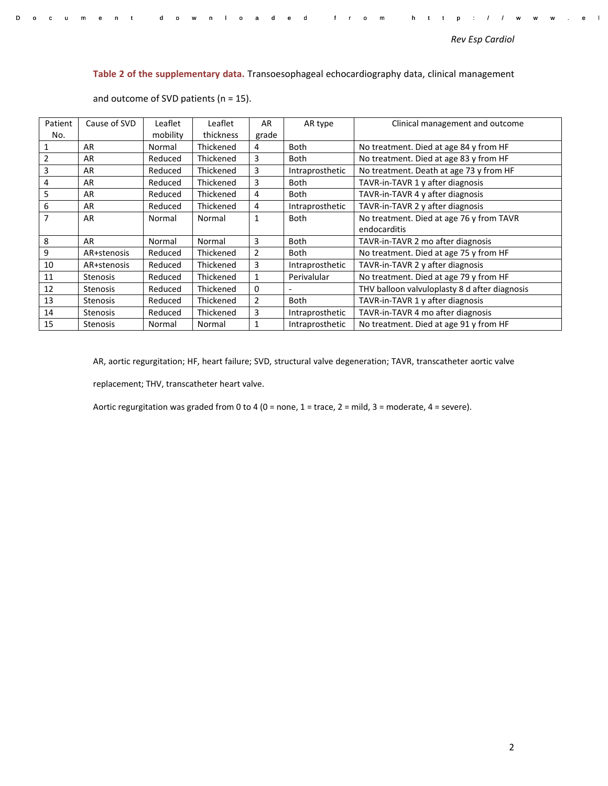Document downloaded from http://www.el

## **Table 2 of the supplementary data.** Transoesophageal echocardiography data, clinical management

| Patient          | Cause of SVD    | Leaflet  | Leaflet   | AR             | AR type         | Clinical management and outcome               |
|------------------|-----------------|----------|-----------|----------------|-----------------|-----------------------------------------------|
| No.              |                 | mobility | thickness | grade          |                 |                                               |
| 1                | AR              | Normal   | Thickened | 4              | <b>Both</b>     | No treatment. Died at age 84 y from HF        |
| $\overline{2}$   | AR              | Reduced  | Thickened | 3              | <b>Both</b>     | No treatment. Died at age 83 y from HF        |
| 3                | AR              | Reduced  | Thickened | 3              | Intraprosthetic | No treatment. Death at age 73 y from HF       |
| 4                | AR              | Reduced  | Thickened | 3              | Both            | TAVR-in-TAVR 1 y after diagnosis              |
| 5                | AR              | Reduced  | Thickened | 4              | <b>Both</b>     | TAVR-in-TAVR 4 y after diagnosis              |
| $\boldsymbol{6}$ | AR              | Reduced  | Thickened | 4              | Intraprosthetic | TAVR-in-TAVR 2 y after diagnosis              |
| $\overline{7}$   | AR              | Normal   | Normal    | 1              | <b>Both</b>     | No treatment. Died at age 76 y from TAVR      |
|                  |                 |          |           |                |                 | endocarditis                                  |
| 8                | AR              | Normal   | Normal    | 3              | <b>Both</b>     | TAVR-in-TAVR 2 mo after diagnosis             |
| 9                | AR+stenosis     | Reduced  | Thickened | $\overline{2}$ | <b>Both</b>     | No treatment. Died at age 75 y from HF        |
| 10               | AR+stenosis     | Reduced  | Thickened | 3              | Intraprosthetic | TAVR-in-TAVR 2 y after diagnosis              |
| 11               | <b>Stenosis</b> | Reduced  | Thickened | 1              | Perivalular     | No treatment. Died at age 79 y from HF        |
| 12               | <b>Stenosis</b> | Reduced  | Thickened | 0              |                 | THV balloon valvuloplasty 8 d after diagnosis |
| 13               | <b>Stenosis</b> | Reduced  | Thickened | $\overline{2}$ | <b>Both</b>     | TAVR-in-TAVR 1 y after diagnosis              |
| 14               | <b>Stenosis</b> | Reduced  | Thickened | 3              | Intraprosthetic | TAVR-in-TAVR 4 mo after diagnosis             |
| 15               | <b>Stenosis</b> | Normal   | Normal    |                | Intraprosthetic | No treatment. Died at age 91 y from HF        |

and outcome of SVD patients ( $n = 15$ ).

AR, aortic regurgitation; HF, heart failure; SVD, structural valve degeneration; TAVR, transcatheter aortic valve

replacement; THV, transcatheter heart valve.

Aortic regurgitation was graded from 0 to 4 (0 = none, 1 = trace, 2 = mild, 3 = moderate, 4 = severe).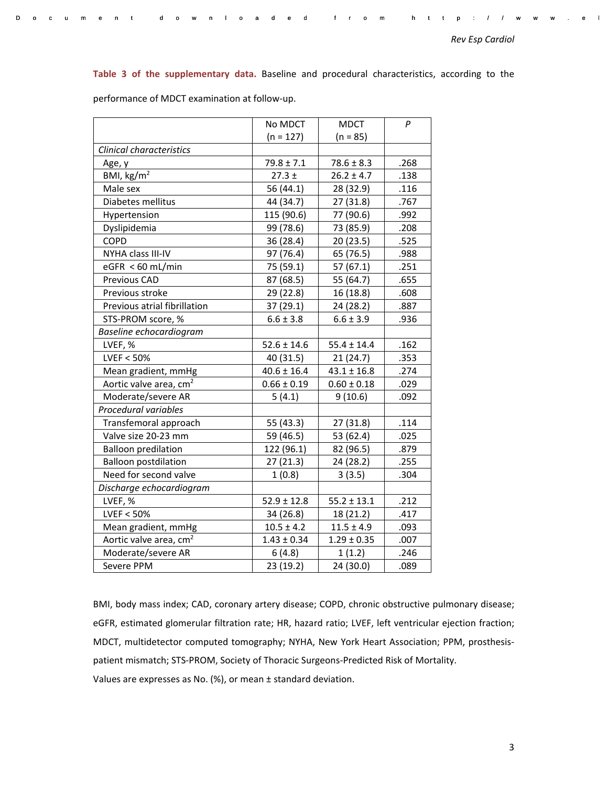Document downloaded from http://www.el

**Table 3 of the supplementary data.**  Baseline and procedural characteristics, according to the

|                                    | No MDCT         | <b>MDCT</b>     | P    |
|------------------------------------|-----------------|-----------------|------|
|                                    | $(n = 127)$     | $(n = 85)$      |      |
| Clinical characteristics           |                 |                 |      |
| Age, y                             | $79.8 \pm 7.1$  | $78.6 \pm 8.3$  | .268 |
| BMI, $\text{kg/m}^2$               | $27.3 \pm$      | $26.2 \pm 4.7$  | .138 |
| Male sex                           | 56 (44.1)       | 28 (32.9)       | .116 |
| Diabetes mellitus                  | 44 (34.7)       | 27 (31.8)       | .767 |
| Hypertension                       | 115 (90.6)      | 77 (90.6)       | .992 |
| Dyslipidemia                       | 99 (78.6)       | 73 (85.9)       | .208 |
| <b>COPD</b>                        | 36 (28.4)       | 20 (23.5)       | .525 |
| NYHA class III-IV                  | 97 (76.4)       | 65 (76.5)       | .988 |
| eGFR < 60 mL/min                   | 75 (59.1)       | 57 (67.1)       | .251 |
| Previous CAD                       | 87 (68.5)       | 55 (64.7)       | .655 |
| Previous stroke                    | 29 (22.8)       | 16 (18.8)       | .608 |
| Previous atrial fibrillation       | 37 (29.1)       | 24 (28.2)       | .887 |
| STS-PROM score, %                  | $6.6 \pm 3.8$   | $6.6 \pm 3.9$   | .936 |
| Baseline echocardiogram            |                 |                 |      |
| LVEF, %                            | $52.6 \pm 14.6$ | $55.4 \pm 14.4$ | .162 |
| LVEF < 50%                         | 40 (31.5)       | 21(24.7)        | .353 |
| Mean gradient, mmHg                | $40.6 \pm 16.4$ | $43.1 \pm 16.8$ | .274 |
| Aortic valve area, cm <sup>2</sup> | $0.66 \pm 0.19$ | $0.60 \pm 0.18$ | .029 |
| Moderate/severe AR                 | 5(4.1)          | 9(10.6)         | .092 |
| Procedural variables               |                 |                 |      |
| Transfemoral approach              | 55 (43.3)       | 27 (31.8)       | .114 |
| Valve size 20-23 mm                | 59 (46.5)       | 53 (62.4)       | .025 |
| <b>Balloon predilation</b>         | 122 (96.1)      | 82 (96.5)       | .879 |
| <b>Balloon postdilation</b>        | 27(21.3)        | 24 (28.2)       | .255 |
| Need for second valve              | 1(0.8)          | 3(3.5)          | .304 |
| Discharge echocardiogram           |                 |                 |      |
| LVEF, %                            | $52.9 \pm 12.8$ | $55.2 \pm 13.1$ | .212 |
| LVEF < 50%                         | 34 (26.8)       | 18 (21.2)       | .417 |
| Mean gradient, mmHg                | $10.5 \pm 4.2$  | $11.5 \pm 4.9$  | .093 |
| Aortic valve area, cm <sup>2</sup> | $1.43 \pm 0.34$ | $1.29 \pm 0.35$ | .007 |
| Moderate/severe AR                 | 6(4.8)          | 1(1.2)          | .246 |
| Severe PPM                         | 23 (19.2)       | 24 (30.0)       | .089 |

performance of MDCT examination at follow‐up.

BMI, body mass index; CAD, coronary artery disease; COPD, chronic obstructive pulmonary disease; eGFR, estimated glomerular filtration rate; HR, hazard ratio; LVEF, left ventricular ejection fraction; MDCT, multidetector computed tomography; NYHA, New York Heart Association; PPM, prosthesis‐ patient mismatch; STS‐PROM, Society of Thoracic Surgeons‐Predicted Risk of Mortality. Values are expresses as No. (%), or mean ± standard deviation.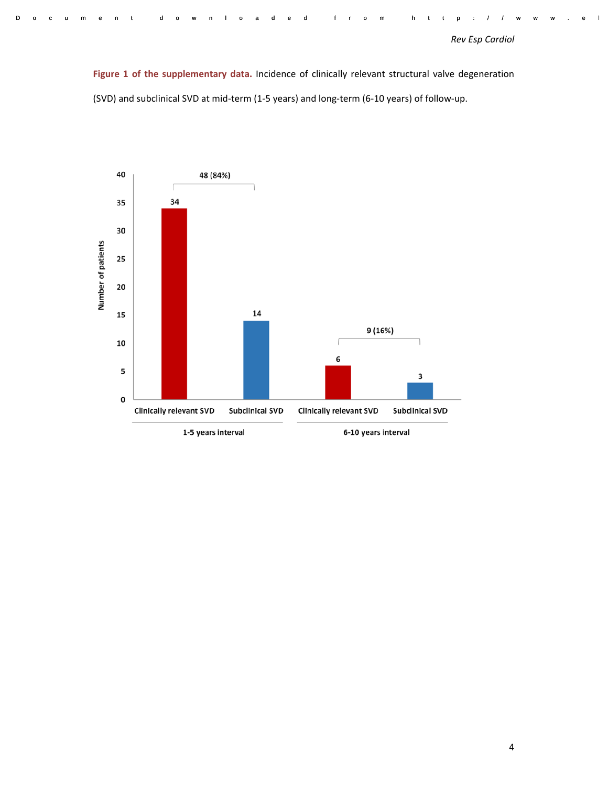Document downloaded from http://www.el

Figure 1 of the supplementary data. Incidence of clinically relevant structural valve degeneration (SVD) and subclinical SVD at mid‐term (1‐5 years) and long‐term (6‐10 years) of follow‐up.